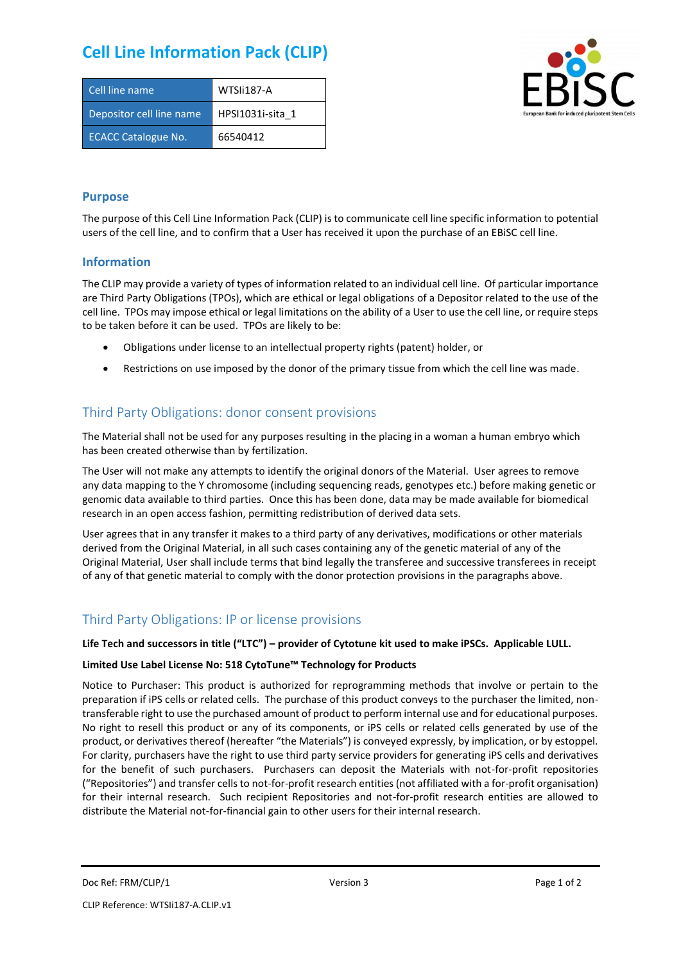# **Cell Line Information Pack (CLIP)**

| Cell line name             | WTSIi187-A       |
|----------------------------|------------------|
| Depositor cell line name   | HPSI1031i-sita 1 |
| <b>ECACC Catalogue No.</b> | 66540412         |



#### **Purpose**

The purpose of this Cell Line Information Pack (CLIP) is to communicate cell line specific information to potential users of the cell line, and to confirm that a User has received it upon the purchase of an EBiSC cell line.

#### **Information**

The CLIP may provide a variety of types of information related to an individual cell line. Of particular importance are Third Party Obligations (TPOs), which are ethical or legal obligations of a Depositor related to the use of the cell line. TPOs may impose ethical or legal limitations on the ability of a User to use the cell line, or require steps to be taken before it can be used. TPOs are likely to be:

- Obligations under license to an intellectual property rights (patent) holder, or
- Restrictions on use imposed by the donor of the primary tissue from which the cell line was made.

### Third Party Obligations: donor consent provisions

The Material shall not be used for any purposes resulting in the placing in a woman a human embryo which has been created otherwise than by fertilization.

The User will not make any attempts to identify the original donors of the Material. User agrees to remove any data mapping to the Y chromosome (including sequencing reads, genotypes etc.) before making genetic or genomic data available to third parties. Once this has been done, data may be made available for biomedical research in an open access fashion, permitting redistribution of derived data sets.

User agrees that in any transfer it makes to a third party of any derivatives, modifications or other materials derived from the Original Material, in all such cases containing any of the genetic material of any of the Original Material, User shall include terms that bind legally the transferee and successive transferees in receipt of any of that genetic material to comply with the donor protection provisions in the paragraphs above.

## Third Party Obligations: IP or license provisions

#### **Life Tech and successors in title ("LTC") – provider of Cytotune kit used to make iPSCs. Applicable LULL.**

#### **Limited Use Label License No: 518 CytoTune™ Technology for Products**

Notice to Purchaser: This product is authorized for reprogramming methods that involve or pertain to the preparation if iPS cells or related cells. The purchase of this product conveys to the purchaser the limited, nontransferable right to use the purchased amount of product to perform internal use and for educational purposes. No right to resell this product or any of its components, or iPS cells or related cells generated by use of the product, or derivatives thereof (hereafter "the Materials") is conveyed expressly, by implication, or by estoppel. For clarity, purchasers have the right to use third party service providers for generating iPS cells and derivatives for the benefit of such purchasers. Purchasers can deposit the Materials with not-for-profit repositories ("Repositories") and transfer cells to not-for-profit research entities (not affiliated with a for-profit organisation) for their internal research. Such recipient Repositories and not-for-profit research entities are allowed to distribute the Material not-for-financial gain to other users for their internal research.

Doc Ref: FRM/CLIP/1 **Docessition** 2 Page 1 of 2 Version 3 **Page 1 of 2** Page 1 of 2